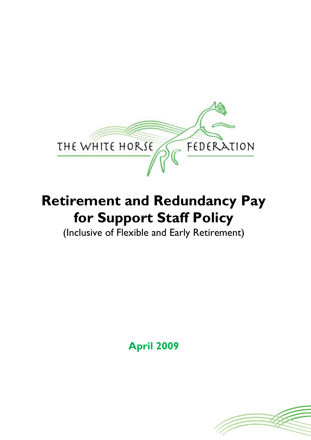

# **Retirement and Redundancy Pay for Support Staff Policy**

(Inclusive of Flexible and Early Retirement)

**April 2009**

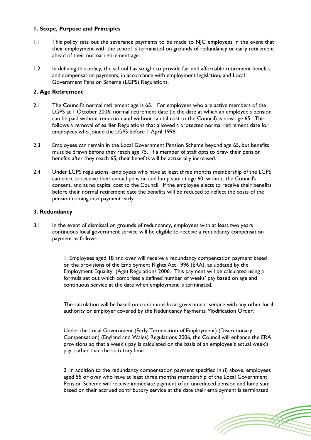#### **1. Scope, Purpose and Principles**

- 1.1 This policy sets out the severance payments to be made to NJC employees in the event that their employment with the school is terminated on grounds of redundancy or early retirement ahead of their normal retirement age.
- 1.2 In defining this policy, the school has sought to provide fair and affordable retirement benefits and compensation payments, in accordance with employment legislation, and Local Government Pension Scheme (LGPS) Regulations.

## **2. Age Retirement**

- 2.1 The Council's normal retirement age is 65. For employees who are active members of the LGPS at 1 October 2006, normal retirement date (ie the date at which an employee's pension can be paid without reduction and without capital cost to the Council) is now age 65. This follows a removal of earlier Regulations that allowed a protected normal retirement date for employees who joined the LGPS before 1 April 1998.
- 2.3 Employees can remain in the Local Government Pension Scheme beyond age 65, but benefits must be drawn before they reach age 75. If a member of staff opts to draw their pension benefits after they reach 65, their benefits will be actuarially increased.
- 2.4 Under LGPS regulations, employees who have at least three months membership of the LGPS can elect to receive their annual pension and lump sum at age 60, without the Council's consent, and at no capital cost to the Council. If the employee elects to receive their benefits before their normal retirement date the benefits will be reduced to reflect the costs of the pension coming into payment early.

#### **3. Redundancy**

3.1 In the event of dismissal on grounds of redundancy, employees with at least two years continuous local government service will be eligible to receive a redundancy compensation payment as follows:

> 1. Employees aged 18 and over will receive a redundancy compensation payment based on the provisions of the Employment Rights Act 1996 (ERA), as updated by the Employment Equality (Age) Regulations 2006. This payment will be calculated using a formula set out which comprises a defined number of weeks' pay based on age and continuous service at the date when employment is terminated.

The calculation will be based on continuous local government service with any other local authority or employer covered by the Redundancy Payments Modification Order.

Under the Local Government (Early Termination of Employment) (Discretionary Compensation) (England and Wales) Regulations 2006, the Council will enhance the ERA provisions so that a week's pay is calculated on the basis of an employee's actual week's pay, rather than the statutory limit.

2. In addition to the redundancy compensation payment specified in (i) above, employees aged 55 or over who have at least three months membership of the Local Government Pension Scheme will receive immediate payment of an unreduced pension and lump sum based on their accrued contributory service at the date their employment is terminated.

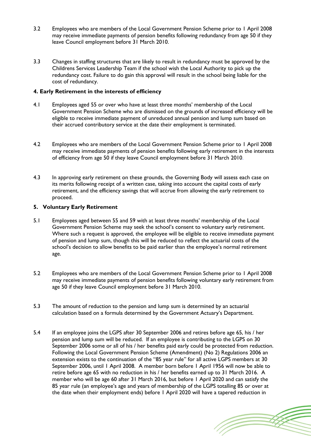- 3.2 Employees who are members of the Local Government Pension Scheme prior to 1 April 2008 may receive immediate payments of pension benefits following redundancy from age 50 if they leave Council employment before 31 March 2010.
- 3.3 Changes in staffing structures that are likely to result in redundancy must be approved by the Childrens Services Leadership Team if the school wish the Local Authority to pick up the redundancy cost. Failure to do gain this approval will result in the school being liable for the cost of redundancy.

## **4. Early Retirement in the interests of efficiency**

- 4.1 Employees aged 55 or over who have at least three months' membership of the Local Government Pension Scheme who are dismissed on the grounds of increased efficiency will be eligible to receive immediate payment of unreduced annual pension and lump sum based on their accrued contributory service at the date their employment is terminated.
- 4.2 Employees who are members of the Local Government Pension Scheme prior to 1 April 2008 may receive immediate payments of pension benefits following early retirement in the interests of efficiency from age 50 if they leave Council employment before 31 March 2010.
- 4.3 In approving early retirement on these grounds, the Governing Body will assess each case on its merits following receipt of a written case, taking into account the capital costs of early retirement, and the efficiency savings that will accrue from allowing the early retirement to proceed.

#### **5. Voluntary Early Retirement**

- 5.1 Employees aged between 55 and 59 with at least three months' membership of the Local Government Pension Scheme may seek the school's consent to voluntary early retirement. Where such a request is approved, the employee will be eligible to receive immediate payment of pension and lump sum, though this will be reduced to reflect the actuarial costs of the school's decision to allow benefits to be paid earlier than the employee's normal retirement age.
- 5.2 Employees who are members of the Local Government Pension Scheme prior to 1 April 2008 may receive immediate payments of pension benefits following voluntary early retirement from age 50 if they leave Council employment before 31 March 2010.
- 5.3 The amount of reduction to the pension and lump sum is determined by an actuarial calculation based on a formula determined by the Government Actuary's Department.
- 5.4 If an employee joins the LGPS after 30 September 2006 and retires before age 65, his / her pension and lump sum will be reduced. If an employee is contributing to the LGPS on 30 September 2006 some or all of his / her benefits paid early could be protected from reduction. Following the Local Government Pension Scheme (Amendment) (No 2) Regulations 2006 an extension exists to the continuation of the "85 year rule" for all active LGPS members at 30 September 2006, until 1 April 2008. A member born before 1 April 1956 will now be able to retire before age 65 with no reduction in his / her benefits earned up to 31 March 2016. A member who will be age 60 after 31 March 2016, but before 1 April 2020 and can satisfy the 85 year rule (an employee's age and years of membership of the LGPS totalling 85 or over at the date when their employment ends) before 1 April 2020 will have a tapered reduction in

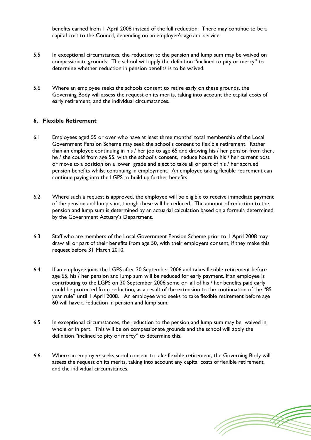benefits earned from 1 April 2008 instead of the full reduction. There may continue to be a capital cost to the Council, depending on an employee's age and service.

- 5.5 In exceptional circumstances, the reduction to the pension and lump sum may be waived on compassionate grounds. The school will apply the definition "inclined to pity or mercy" to determine whether reduction in pension benefits is to be waived.
- 5.6 Where an employee seeks the schools consent to retire early on these grounds, the Governing Body will assess the request on its merits, taking into account the capital costs of early retirement, and the individual circumstances.

## **6. Flexible Retirement**

- 6.1 Employees aged 55 or over who have at least three months' total membership of the Local Government Pension Scheme may seek the school's consent to flexible retirement. Rather than an employee continuing in his / her job to age 65 and drawing his / her pension from then, he / she could from age 55, with the school's consent, reduce hours in his / her current post or move to a position on a lower grade and elect to take all or part of his / her accrued pension benefits whilst continuing in employment. An employee taking flexible retirement can continue paying into the LGPS to build up further benefits.
- 6.2 Where such a request is approved, the employee will be eligible to receive immediate payment of the pension and lump sum, though these will be reduced. The amount of reduction to the pension and lump sum is determined by an actuarial calculation based on a formula determined by the Government Actuary's Department.
- 6.3 Staff who are members of the Local Government Pension Scheme prior to 1 April 2008 may draw all or part of their benefits from age 50, with their employers consent, if they make this request before 31 March 2010.
- 6.4 If an employee joins the LGPS after 30 September 2006 and takes flexible retirement before age 65, his / her pension and lump sum will be reduced for early payment. If an employee is contributing to the LGPS on 30 September 2006 some or all of his / her benefits paid early could be protected from reduction, as a result of the extension to the continuation of the "85 year rule" until 1 April 2008. An employee who seeks to take flexible retirement before age 60 will have a reduction in pension and lump sum.
- 6.5 In exceptional circumstances, the reduction to the pension and lump sum may be waived in whole or in part. This will be on compassionate grounds and the school will apply the definition "inclined to pity or mercy" to determine this.
- 6.6 Where an employee seeks scool consent to take flexible retirement, the Governing Body will assess the request on its merits, taking into account any capital costs of flexible retirement, and the individual circumstances.

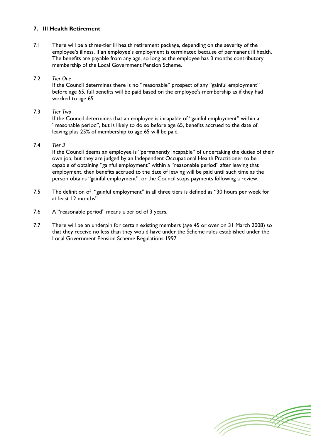# **7. Ill Health Retirement**

7.1 There will be a three-tier ill health retirement package, depending on the severity of the employee's illness, if an employee's employment is terminated because of permanent ill health. The benefits are payable from any age, so long as the employee has 3 months contributory membership of the Local Government Pension Scheme.

#### 7.2 *Tier One*

If the Council determines there is no "reasonable" prospect of any "gainful employment" before age 65, full benefits will be paid based on the employee's membership as if they had worked to age 65.

## 7.3 *Tier Two*

If the Council determines that an employee is incapable of "gainful employment" within a "reasonable period", but is likely to do so before age 65, benefits accrued to the date of leaving plus 25% of membership to age 65 will be paid.

#### 7.4 *Tier 3*

If the Council deems an employee is "permanently incapable" of undertaking the duties of their own job, but they are judged by an Independent Occupational Health Practitioner to be capable of obtaining "gainful employment" within a "reasonable period" after leaving that employment, then benefits accrued to the date of leaving will be paid until such time as the person obtains "gainful employment", or the Council stops payments following a review.

- 7.5 The definition of "gainful employment" in all three tiers is defined as "30 hours per week for at least 12 months".
- 7.6 A "reasonable period" means a period of 3 years.
- 7.7 There will be an underpin for certain existing members (age 45 or over on 31 March 2008) so that they receive no less than they would have under the Scheme rules established under the Local Government Pension Scheme Regulations 1997.

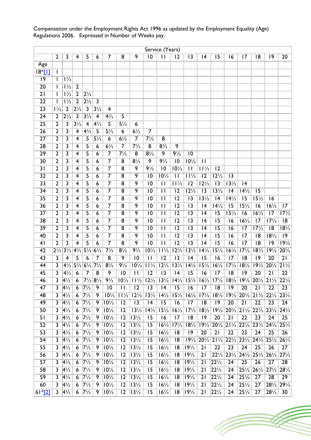|                 |                         |                               |                         |                                                                |                            |                         |                 |                                                                  |                 | Service (Years)                                   |                   |                  |                  |                                                                                                                                                 |                                  |                  |                                                                                                                             |                                                   |                                  |
|-----------------|-------------------------|-------------------------------|-------------------------|----------------------------------------------------------------|----------------------------|-------------------------|-----------------|------------------------------------------------------------------|-----------------|---------------------------------------------------|-------------------|------------------|------------------|-------------------------------------------------------------------------------------------------------------------------------------------------|----------------------------------|------------------|-----------------------------------------------------------------------------------------------------------------------------|---------------------------------------------------|----------------------------------|
|                 | 2                       | 3                             | $\overline{\mathbf{4}}$ | 5                                                              | 6                          | 7                       | 8               | 9                                                                | $\overline{10}$ | $\overline{11}$                                   | 12                | $\overline{13}$  | 4                | 15                                                                                                                                              | 16                               | 17               | 8                                                                                                                           | 9                                                 | 20                               |
| Age             |                         |                               |                         |                                                                |                            |                         |                 |                                                                  |                 |                                                   |                   |                  |                  |                                                                                                                                                 |                                  |                  |                                                                                                                             |                                                   |                                  |
| $18*$ [ $1$ ]   |                         |                               |                         |                                                                |                            |                         |                 |                                                                  |                 |                                                   |                   |                  |                  |                                                                                                                                                 |                                  |                  |                                                                                                                             |                                                   |                                  |
| 9               |                         | $1\frac{1}{2}$                |                         |                                                                |                            |                         |                 |                                                                  |                 |                                                   |                   |                  |                  |                                                                                                                                                 |                                  |                  |                                                                                                                             |                                                   |                                  |
| $\overline{20}$ |                         | $1\frac{1}{2}$                | $\overline{2}$          |                                                                |                            |                         |                 |                                                                  |                 |                                                   |                   |                  |                  |                                                                                                                                                 |                                  |                  |                                                                                                                             |                                                   |                                  |
| $\overline{21}$ |                         | $1\frac{1}{2}$                | $\overline{2}$          | $2\frac{1}{2}$                                                 |                            |                         |                 |                                                                  |                 |                                                   |                   |                  |                  |                                                                                                                                                 |                                  |                  |                                                                                                                             |                                                   |                                  |
| $\overline{22}$ | $\overline{1}$          | $1\frac{1}{2}$                | $\overline{2}$          | $2\frac{1}{2}$                                                 | $\overline{3}$             |                         |                 |                                                                  |                 |                                                   |                   |                  |                  |                                                                                                                                                 |                                  |                  |                                                                                                                             |                                                   |                                  |
| $\overline{23}$ | $1\frac{1}{2}$          | $\overline{2}$                | $2\frac{1}{2}$          | $\overline{3}$                                                 | $3\frac{1}{2}$             | 4                       |                 |                                                                  |                 |                                                   |                   |                  |                  |                                                                                                                                                 |                                  |                  |                                                                                                                             |                                                   |                                  |
| 24              | $\overline{2}$          | $2\frac{1}{2}$                | $\overline{\mathbf{3}}$ | $3\frac{1}{2}$                                                 | $\overline{4}$             | $4\frac{1}{2}$          | 5               |                                                                  |                 |                                                   |                   |                  |                  |                                                                                                                                                 |                                  |                  |                                                                                                                             |                                                   |                                  |
| $\overline{25}$ | $\overline{2}$          | $\overline{3}$                | $3\frac{1}{2}$          | $\overline{4}$                                                 | $4\frac{1}{2}$             | $\overline{5}$          | $5\frac{1}{2}$  | $\boldsymbol{6}$                                                 |                 |                                                   |                   |                  |                  |                                                                                                                                                 |                                  |                  |                                                                                                                             |                                                   |                                  |
| 26              | 2                       | 3                             | 4                       | $4\frac{1}{2}$                                                 | 5                          | $5\frac{1}{2}$          | 6               | $6\frac{1}{2}$                                                   | $\overline{7}$  |                                                   |                   |                  |                  |                                                                                                                                                 |                                  |                  |                                                                                                                             |                                                   |                                  |
| 27              | $\overline{2}$          | 3                             | $\overline{4}$          | 5                                                              | $5\frac{1}{2}$             | 6                       | $6\frac{1}{2}$  | $\overline{7}$                                                   | $7\frac{1}{2}$  | 8                                                 |                   |                  |                  |                                                                                                                                                 |                                  |                  |                                                                                                                             |                                                   |                                  |
| 28              | $\overline{2}$          | 3                             | 4                       | 5                                                              | 6                          | $6\frac{1}{2}$          |                 | $7\frac{1}{2}$                                                   | $\overline{8}$  | $8\frac{1}{2}$                                    | $\overline{9}$    |                  |                  |                                                                                                                                                 |                                  |                  |                                                                                                                             |                                                   |                                  |
| $\overline{29}$ | $\overline{2}$          | 3                             | $\overline{\mathbf{4}}$ | 5                                                              | 6                          | $\overline{7}$          | $7\frac{1}{2}$  | $\overline{8}$                                                   | $8\frac{1}{2}$  | 9                                                 | $9\frac{1}{2}$    | 10               |                  |                                                                                                                                                 |                                  |                  |                                                                                                                             |                                                   |                                  |
| $\overline{30}$ | $\overline{2}$          | 3                             | $\overline{4}$          | 5                                                              | 6                          | $\overline{7}$          | $\overline{8}$  | $8\frac{1}{2}$                                                   | $\overline{9}$  | $9\frac{1}{2}$                                    | $\overline{10}$   | $10\frac{1}{2}$  | $\mathbf{H}$     |                                                                                                                                                 |                                  |                  |                                                                                                                             |                                                   |                                  |
| 31              | 2                       | 3                             | 4                       | 5                                                              | 6                          | $\overline{7}$          | 8               | 9                                                                | $9\frac{1}{2}$  | 10                                                | $10\frac{1}{2}$   | $\mathbf{I}$     | $11\overline{2}$ | 12                                                                                                                                              |                                  |                  |                                                                                                                             |                                                   |                                  |
| $\overline{32}$ | 2                       | 3                             | 4                       | 5                                                              | 6                          | $\overline{\mathbf{7}}$ | $\overline{8}$  | 9                                                                | 10              | $10\frac{1}{2}$                                   | $\overline{11}$   | $11\frac{1}{2}$  | $\overline{12}$  | $12\frac{1}{2}$                                                                                                                                 | 3                                |                  |                                                                                                                             |                                                   |                                  |
| $\overline{33}$ | $\overline{2}$          | $\overline{\mathbf{3}}$       | $\overline{4}$          | $\overline{5}$                                                 | 6                          | $\overline{\tau}$       | $\overline{8}$  | $\overline{9}$                                                   | $\overline{10}$ | $\overline{11}$                                   | $11\frac{1}{2}$   | $\overline{12}$  | $12\frac{1}{2}$  | $\overline{13}$                                                                                                                                 | $13\frac{1}{2}$                  | 4                |                                                                                                                             |                                                   |                                  |
| $\overline{34}$ | $\overline{2}$          | 3                             | $\overline{\mathbf{4}}$ | 5                                                              | 6                          | $\overline{\mathbf{z}}$ | $\overline{8}$  | 9                                                                | $\overline{10}$ | $\mathbf{I}$                                      | 12                | $12\frac{1}{2}$  | $\overline{13}$  | $13\frac{1}{2}$                                                                                                                                 | 4                                | $14\frac{1}{2}$  | 15                                                                                                                          |                                                   |                                  |
| $\overline{35}$ | $\overline{2}$          | $\overline{3}$                | $\overline{4}$          | 5                                                              | 6                          | $\overline{\mathbf{7}}$ | $\overline{8}$  | 9                                                                | $\overline{10}$ | $\overline{11}$                                   | $\overline{12}$   | $\overline{13}$  | $13\frac{1}{2}$  | 4                                                                                                                                               | $14\frac{1}{2}$                  | $\overline{15}$  | $15\frac{1}{2}$                                                                                                             | 16                                                |                                  |
| 36              | $\overline{2}$          | 3                             | 4                       | 5                                                              | 6                          | $\overline{\mathbf{z}}$ | $\overline{8}$  | $\overline{9}$                                                   | $\overline{10}$ | $\overline{11}$                                   | $\overline{12}$   | $\overline{13}$  | 4                | $14\frac{1}{2}$                                                                                                                                 | $\overline{15}$                  | $15\frac{1}{2}$  | 16                                                                                                                          | $16\frac{1}{2}$                                   | $\overline{17}$                  |
| $\overline{37}$ | $\overline{2}$          | 3                             | 4                       | 5                                                              | 6                          | $\overline{7}$          | 8               | 9                                                                | 10              | $\overline{11}$                                   | $\overline{12}$   | $\overline{13}$  | 4                | $\overline{15}$                                                                                                                                 | $15\frac{1}{2}$                  | $\overline{16}$  | $16\frac{1}{2}$                                                                                                             | 17                                                | $17\frac{1}{2}$                  |
| $\overline{38}$ | 2                       | 3                             | $\overline{4}$          | 5                                                              | 6                          | $\overline{\tau}$       | $\overline{8}$  | 9                                                                | $\overline{10}$ | $\overline{\mathsf{H}}$                           | $\overline{12}$   | $\overline{13}$  | 4                | $\overline{15}$                                                                                                                                 | $\overline{16}$                  | $16\frac{1}{2}$  | $\overline{17}$                                                                                                             | $17\frac{1}{2}$                                   | $\overline{18}$                  |
| 39              | 2                       | 3                             | $\overline{4}$          | 5                                                              | 6                          | $\overline{\mathbf{7}}$ | $\overline{8}$  | 9                                                                | 10              | $\overline{11}$                                   | $\overline{12}$   | $\overline{13}$  | 4                | $\overline{15}$                                                                                                                                 | 16                               | $\overline{17}$  | $17\frac{1}{2}$                                                                                                             | 8                                                 | $18\frac{1}{2}$                  |
| 40              | 2                       | 3                             | 4                       | 5                                                              | 6                          | $\overline{\mathbf{7}}$ | $\overline{8}$  | 9                                                                | $\overline{10}$ | $\overline{11}$                                   | $\overline{12}$   | $\overline{13}$  | 4                | $\overline{15}$                                                                                                                                 | 16                               | $\overline{17}$  | 8                                                                                                                           | $18\frac{1}{2}$                                   | $ 9\rangle$                      |
| 41              | $\overline{2}$          | $\overline{\mathbf{3}}$       | $\overline{4}$          | $\overline{5}$                                                 | 6                          | $\overline{7}$          | $\overline{8}$  | $\overline{9}$                                                   | $\overline{10}$ | $\overline{\mathsf{H}}$                           | $\overline{12}$   | $\overline{13}$  | $\overline{14}$  | $\overline{15}$                                                                                                                                 | $\overline{16}$                  | $\overline{17}$  | $\overline{18}$                                                                                                             | $\overline{19}$                                   | $19\frac{1}{2}$                  |
| 42              |                         | $2\frac{1}{2}$ $3\frac{1}{2}$ | $4\frac{1}{2}$          | $5\frac{1}{2}6\frac{1}{2}$                                     |                            | $7\frac{1}{2}$          | $8\frac{1}{2}$  | $9\frac{1}{2}$                                                   | $10\frac{1}{2}$ | $11\frac{1}{2}$                                   | $ 2\sqrt{2} $     | $13\frac{1}{2}$  | $14\frac{1}{2}$  | $15\frac{1}{2}$                                                                                                                                 | $16\frac{1}{2}$                  | $ 7\frac{1}{2} $ | $ 8\frac{1}{2} $                                                                                                            | $ 9\frac{1}{2} $                                  | $20\frac{1}{2}$                  |
| 43              | $\overline{3}$          | $\overline{4}$                | $\overline{5}$          | 6                                                              | $\overline{7}$             | $\overline{8}$          | 9               | $\overline{10}$                                                  | $\overline{11}$ | $\overline{12}$                                   | $\overline{13}$   | $\overline{14}$  | $\overline{15}$  | $\overline{16}$                                                                                                                                 | $\overline{17}$                  | $\overline{18}$  | $\overline{19}$                                                                                                             | $\overline{20}$                                   | $\overline{21}$                  |
| 44              | 3                       |                               |                         | $4\frac{1}{2}$ 5 $\frac{1}{2}$ 6 $\frac{1}{2}$ 7 $\frac{1}{2}$ |                            | $8\frac{1}{2}$          | $9\frac{1}{2}$  |                                                                  |                 | $10\frac{1}{2}$ 11 $\frac{1}{2}$ 12 $\frac{1}{2}$ | $13\frac{1}{2}$   | $ 4\frac{1}{2} $ | $ 5\frac{1}{2} $ | $16\frac{1}{2}$                                                                                                                                 | $17\frac{1}{2}$                  | $ 8\frac{1}{2} $ |                                                                                                                             | $19\frac{1}{2}$ 20 $\frac{1}{2}$ 21 $\frac{1}{2}$ |                                  |
| $\overline{45}$ | $\overline{3}$          | $4\frac{1}{2}$                | $\overline{6}$          | $\overline{7}$                                                 | $\overline{8}$             | 9                       | $\overline{10}$ | $\overline{11}$                                                  | $\overline{12}$ | $\overline{13}$                                   | $\overline{14}$   | $\overline{15}$  | $\overline{16}$  | $\overline{17}$                                                                                                                                 | $\overline{18}$                  | $\overline{19}$  | $\overline{20}$                                                                                                             | $\overline{21}$                                   | $\overline{22}$                  |
| 46              | $\overline{\mathbf{3}}$ | $4\frac{1}{2}$                | $6\phantom{a}$          |                                                                | $7\frac{1}{2}8\frac{1}{2}$ | $9\frac{1}{2}$          |                 | 10/2 11/2 12/2 13/2 14/2 15/2 16/2 17/2 18/2 19/2 20/2 21/2 22/2 |                 |                                                   |                   |                  |                  |                                                                                                                                                 |                                  |                  |                                                                                                                             |                                                   |                                  |
| 47              | 3                       | $4\frac{1}{2}$                | 6                       | $7\frac{1}{2}$                                                 | 9                          | $\overline{10}$         | $\mathbf{L}$    | 12                                                               | 13              | 4                                                 | 15                | 16               | 17               | 8                                                                                                                                               | 9                                | 20               | 21                                                                                                                          | 22                                                | 23                               |
| 48              | 3                       | $4\frac{1}{2}$                | 6                       | $7\frac{1}{2}$                                                 | 9                          | $ 0\frac{1}{2} $        | $11\frac{1}{2}$ |                                                                  |                 | $ 2\frac{1}{2}  13\frac{1}{2}  14\frac{1}{2} $    | $ 15\frac{1}{2} $ |                  |                  | $16\frac{1}{2}$ 17 $\frac{1}{2}$ 18 $\frac{1}{2}$ 19 $\frac{1}{2}$ 20 $\frac{1}{2}$ 21 $\frac{1}{2}$ 22 $\frac{1}{2}$ 23 $\frac{1}{2}$          |                                  |                  |                                                                                                                             |                                                   |                                  |
| 49              | 3                       | $4\frac{1}{2}$                | 6                       | $7\frac{1}{2}$                                                 | 9                          | $10\frac{1}{2}$         | $\overline{12}$ | $\overline{13}$                                                  | 4               | $\overline{15}$                                   | 16                | $\overline{17}$  | $\overline{18}$  | $\overline{19}$                                                                                                                                 | $\overline{20}$                  | 21               | $\overline{22}$                                                                                                             | $\overline{23}$                                   | 24                               |
| 50              | 3                       | $4\frac{1}{2}$                | 6                       | $7\frac{1}{2}$                                                 | 9                          | $10\frac{1}{2}$         | 12              | $ 3\frac{1}{2} $                                                 |                 | $14\frac{1}{2}$ 15 $\frac{1}{2}$                  |                   |                  |                  | $16\frac{1}{2}$ $17\frac{1}{2}$ $18\frac{1}{2}$ $19\frac{1}{2}$ $20\frac{1}{2}$ $21\frac{1}{2}$ $22\frac{1}{2}$ $23\frac{1}{2}$ $24\frac{1}{2}$ |                                  |                  |                                                                                                                             |                                                   |                                  |
| 51              | 3                       | $4\frac{1}{2}$                | 6                       | $7\frac{1}{2}$                                                 | 9                          | $10\frac{1}{2}$         | 12              | $13\frac{1}{2}$                                                  | 15              | 16                                                | 17                | 8                | $ 9\rangle$      | 20                                                                                                                                              | 21                               | 22               | 23                                                                                                                          | 24                                                | 25                               |
| 52              | 3                       | $4\frac{1}{2}$                | 6                       | $7\frac{1}{2}$                                                 | 9                          | $10\frac{1}{2}$         | 2               | $13\frac{1}{2}$                                                  | 15              | $ 6\frac{1}{2} $                                  | $ 7\frac{1}{2} $  |                  |                  | $18\frac{1}{2}$ 19 $\frac{1}{2}$ 20 $\frac{1}{2}$ 21 $\frac{1}{2}$ 22 $\frac{1}{2}$ 23 $\frac{1}{2}$ 24 $\frac{1}{2}$ 25 $\frac{1}{2}$          |                                  |                  |                                                                                                                             |                                                   |                                  |
| 53              | 3                       | $4\frac{1}{2}$                | 6                       | $7\frac{1}{2}$                                                 | 9                          | $10\frac{1}{2}$         | 12              | $13\frac{1}{2}$                                                  | 15              | $16\frac{1}{2}$                                   | 18                | 9                | 20               | 21                                                                                                                                              | 22                               | 23               | 24                                                                                                                          | 25                                                | 26                               |
| 54              | 3                       | $4\frac{1}{2}$                | 6                       | $7\frac{1}{2}$                                                 | 9                          | $10\frac{1}{2}$         | 12              | $13\frac{1}{2}$                                                  | 15              | $16\frac{1}{2}$                                   | 18                |                  |                  | $19\frac{1}{2}$ 20 $\frac{1}{2}$ 21 $\frac{1}{2}$ 22 $\frac{1}{2}$ 23 $\frac{1}{2}$ 24 $\frac{1}{2}$ 25 $\frac{1}{2}$ 26 $\frac{1}{2}$          |                                  |                  |                                                                                                                             |                                                   |                                  |
| 55              | 3                       | $4\frac{1}{2}$                | 6                       | $7\frac{1}{2}$                                                 | 9                          | $10\frac{1}{2}$         | $ 2\rangle$     | $13\frac{1}{2}$                                                  | 15              | $16\frac{1}{2}$                                   | 8                 | $19\frac{1}{2}$  | 21               | 22                                                                                                                                              | 23                               | 24               | 25                                                                                                                          | 26                                                | 27                               |
| 56              | 3                       | $4\frac{1}{2}$                | 6                       | $7\frac{1}{2}$                                                 | 9                          | $10\frac{1}{2}$         | 12              | $13\frac{1}{2}$                                                  | 15              | $16\frac{1}{2}$                                   | 18                | $19\frac{1}{2}$  | 21               |                                                                                                                                                 | $22\frac{1}{2}$ 23 $\frac{1}{2}$ |                  | 24 <sup>/2</sup> 25 <sup>/2</sup> 26 <sup>/2</sup> 27 <sup>/2</sup>                                                         |                                                   |                                  |
| 57              | 3                       | $4\frac{1}{2}$                | 6                       | $7\frac{1}{2}$                                                 | 9                          | $10\frac{1}{2}$         | 12              | $13\frac{1}{2}$                                                  | 15              | $16\frac{1}{2}$                                   | 18                | $19\frac{1}{2}$  | 21               | $22\frac{1}{2}$                                                                                                                                 | 24                               | 25               | 26                                                                                                                          | 27                                                | 28                               |
| 58              | 3                       | $4\frac{1}{2}$                | 6                       | $7\frac{1}{2}$                                                 | 9                          | $10\frac{1}{2}$         | 12              | $13\frac{1}{2}$                                                  | 15              | $16\frac{1}{2}$                                   | 18                | 19 <sub>2</sub>  | 21               | $22\frac{1}{2}$                                                                                                                                 | 24                               |                  | 25 <sup>1</sup> / <sub>2</sub> 26 <sup>1</sup> / <sub>2</sub> 27 <sup>1</sup> / <sub>2</sub> 28 <sup>1</sup> / <sub>2</sub> |                                                   |                                  |
| 59              | 3                       | $4\frac{1}{2}$                | 6                       | $7\frac{1}{2}$                                                 | 9                          | $10\frac{1}{2}$         | 12              | $13\frac{1}{2}$                                                  | 15              | $16\frac{1}{2}$                                   | 8                 | $19\frac{1}{2}$  | 21               | $22\frac{1}{2}$                                                                                                                                 | 24                               | $25\frac{1}{2}$  | 27                                                                                                                          | 28                                                | 29                               |
| 60              | 3                       | $4\frac{1}{2}$                | 6                       | $7\frac{1}{2}$                                                 | 9                          | $10\frac{1}{2}$         | 12              | $ 13\frac{1}{2}\rangle$                                          | 15              | $16\frac{1}{2}$                                   | 8                 | $19\frac{1}{2}$  | 21               | $22\frac{1}{2}$                                                                                                                                 | 24                               | $25\frac{1}{2}$  | 27                                                                                                                          |                                                   | $28\frac{1}{2}$ 29 $\frac{1}{2}$ |
| $61*21$         | 3                       | $4\frac{1}{2}$                | 6                       | $7\frac{1}{2}$                                                 | 9                          | $10\frac{1}{2}$         | 2               | $ 13\frac{1}{2}\rangle$                                          | 15              | $16\frac{1}{2}$                                   | 18                | $\sqrt{19/2}$    | 21               | $22\frac{1}{2}$                                                                                                                                 | 24                               | $25\frac{1}{2}$  | 27                                                                                                                          | $28\frac{1}{2}$                                   | 30 <sub>o</sub>                  |

(Topon

Compensation under the Employment Rights Act 1996 as updated by the Employment Equality (Age) Regulations 2006. Expressed in Number of Weeks pay.